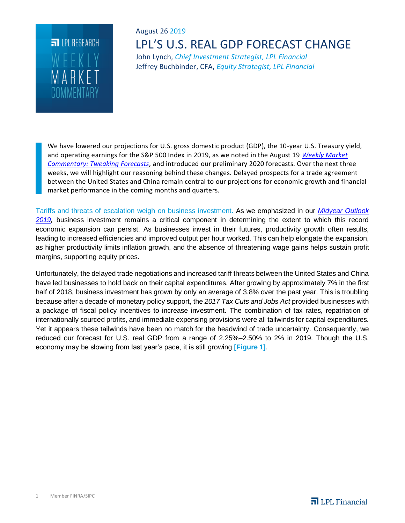

# August 26 2019 LPL'S U.S. REAL GDP FORECAST CHANGE

John Lynch, *Chief Investment Strategist, LPL Financial* Jeffrey Buchbinder, CFA, *Equity Strategist, LPL Financial*

We have lowered our projections for U.S. gross domestic product (GDP), the 10-year U.S. Treasury yield, and operating earnings for the S&P 500 Index in 2019, as we noted in the August 19 *Weekly Market Commentary: Tweaking Forecasts,* and introduced our preliminary 2020 forecasts. Over the next three weeks, we will highlight our reasoning behind these changes. Delayed prospects for a trade agreement between the United States and China remain central to our projections for economic growth and financial market performance in the coming months and quarters.

Tariffs and threats of escalation weigh on business investment. As we emphasized in our *Midyear Outlook 2019,* business investment remains a critical component in determining the extent to which this record economic expansion can persist. As businesses invest in their futures, productivity growth often results, leading to increased efficiencies and improved output per hour worked. This can help elongate the expansion, as higher productivity limits inflation growth, and the absence of threatening wage gains helps sustain profit margins, supporting equity prices.

Unfortunately, the delayed trade negotiations and increased tariff threats between the United States and China have led businesses to hold back on their capital expenditures. After growing by approximately 7% in the first half of 2018, business investment has grown by only an average of 3.8% over the past year. This is troubling because after a decade of monetary policy support, the *2017 Tax Cuts and Jobs Act* provided businesses with a package of fiscal policy incentives to increase investment. The combination of tax rates, repatriation of internationally sourced profits, and immediate expensing provisions were all tailwinds for capital expenditures. Yet it appears these tailwinds have been no match for the headwind of trade uncertainty. Consequently, we reduced our forecast for U.S. real GDP from a range of 2.25%–2.50% to 2% in 2019. Though the U.S. economy may be slowing from last year's pace, it is still growing **[Figure 1]**.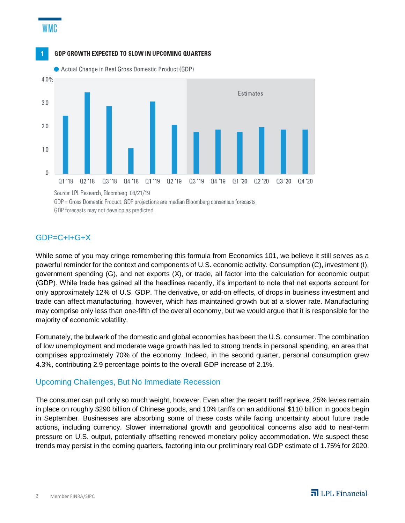# WMC





GDP = Gross Domestic Product. GDP projections are median Bloomberg consensus forecasts. GDP forecasts may not develop as predicted.

## $GDP = C + I + G + X$

While some of you may cringe remembering this formula from Economics 101, we believe it still serves as a powerful reminder for the context and components of U.S. economic activity. Consumption (C), investment (I), government spending (G), and net exports (X), or trade, all factor into the calculation for economic output (GDP). While trade has gained all the headlines recently, it's important to note that net exports account for only approximately 12% of U.S. GDP. The derivative, or add-on effects, of drops in business investment and trade can affect manufacturing, however, which has maintained growth but at a slower rate. Manufacturing may comprise only less than one-fifth of the overall economy, but we would argue that it is responsible for the majority of economic volatility.

Fortunately, the bulwark of the domestic and global economies has been the U.S. consumer. The combination of low unemployment and moderate wage growth has led to strong trends in personal spending, an area that comprises approximately 70% of the economy. Indeed, in the second quarter, personal consumption grew 4.3%, contributing 2.9 percentage points to the overall GDP increase of 2.1%.

### Upcoming Challenges, But No Immediate Recession

The consumer can pull only so much weight, however. Even after the recent tariff reprieve, 25% levies remain in place on roughly \$290 billion of Chinese goods, and 10% tariffs on an additional \$110 billion in goods begin in September. Businesses are absorbing some of these costs while facing uncertainty about future trade actions, including currency. Slower international growth and geopolitical concerns also add to near-term pressure on U.S. output, potentially offsetting renewed monetary policy accommodation. We suspect these trends may persist in the coming quarters, factoring into our preliminary real GDP estimate of 1.75% for 2020.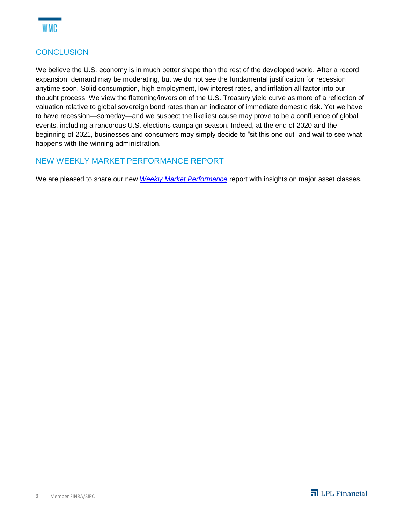

## **CONCLUSION**

We believe the U.S. economy is in much better shape than the rest of the developed world. After a record expansion, demand may be moderating, but we do not see the fundamental justification for recession anytime soon. Solid consumption, high employment, low interest rates, and inflation all factor into our thought process. We view the flattening/inversion of the U.S. Treasury yield curve as more of a reflection of valuation relative to global sovereign bond rates than an indicator of immediate domestic risk. Yet we have to have recession—someday—and we suspect the likeliest cause may prove to be a confluence of global events, including a rancorous U.S. elections campaign season. Indeed, at the end of 2020 and the beginning of 2021, businesses and consumers may simply decide to "sit this one out" and wait to see what happens with the winning administration.

### NEW WEEKLY MARKET PERFORMANCE REPORT

We are pleased to share our new *Weekly Market Performance* report with insights on major asset classes.